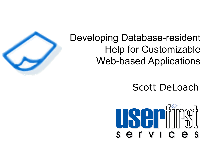

# Developing Database-resident Help for Customizable Web-based Applications

# Scott DeLoach

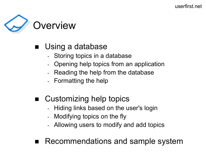

### Using a database

- Storing topics in a database
- Opening help topics from an application
- Reading the help from the database
- Formatting the help
- Customizing help topics
	- Hiding links based on the user's login
	- Modifying topics on the fly
	- Allowing users to modify and add topics
- Recommendations and sample system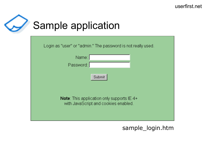

| Login as "user" or "admin." The password is not really used.                                |  |  |  |
|---------------------------------------------------------------------------------------------|--|--|--|
| Name:                                                                                       |  |  |  |
| Password:                                                                                   |  |  |  |
| Submit                                                                                      |  |  |  |
| <b>Note:</b> This application only supports $IE$ 4+<br>with JavaScript and cookies enabled. |  |  |  |

sample\_login.htm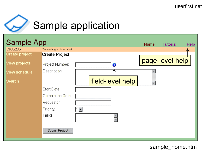

# Sample application



sample home.htm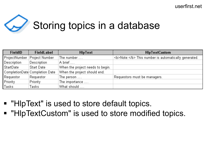

# Storing topics in a database

| <b>FieldID</b> | <b>FieldLabel</b>               | <b>HIpText</b>                   | <b>HIpTextCustom</b>                                 |
|----------------|---------------------------------|----------------------------------|------------------------------------------------------|
| ProjectNumber  | Project Number                  | The number                       | <b>Note:</b> This number is automatically generated. |
| Description    | Description                     | A brief                          |                                                      |
| StartDate      | <b>Start Date</b>               | When the project needs to begin. |                                                      |
|                | CompletionDate  Completion Date | When the project should end.     |                                                      |
| Requestor      | Requestor                       | The person $\dots$               | Requestors must be managers.                         |
| Priority       | Priority                        | The importance                   |                                                      |
| Tasks          | Tasks                           | What should                      |                                                      |

- "HIpText" is used to store default topics.
- "HIpTextCustom" is used to store modified topics.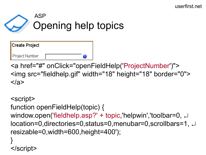# Opening help topics ASP

| Create Project  |   |
|-----------------|---|
| Project Number: | R |

<a href="#" onClick="openFieldHelp('ProjectNumber')"> <img src="fieldhelp.gif" width="18" height="18" border="0">  $\langle$ a>

```
<script>
function openFieldHelp(topic) {
window.open('fieldhelp.asp?' + topic,'helpwin','toolbar=0, J
location=0,directories=0,status=0,menubar=0,scrollbars=1, 
resizable=0,width=600,height=400');
}
</script>
```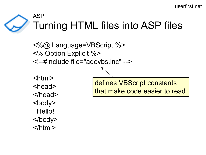## Turning HTML files into ASP files ASP

<%@ Language=VBScript %> <% Option Explicit %> <!--#include file="adovbs.inc" -->

<html> <head> </head> <body> Hello! </body> </html>

defines VBScript constants that make code easier to read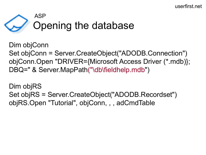

Dim objConn Set objConn = Server.CreateObject("ADODB.Connection") objConn.Open "DRIVER={Microsoft Access Driver (\*.mdb)}; DBQ=" & Server.MapPath("\db\fieldhelp.mdb")

Dim objRS Set objRS = Server.CreateObject("ADODB.Recordset") objRS.Open "Tutorial", objConn, , , adCmdTable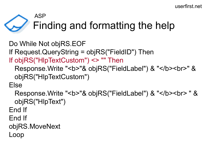# Finding and formatting the help ASP

Do While Not objRS.EOF If Request.QueryString = objRS("FieldID") Then If objRS("HlpTextCustom") <> "" Then Response.Write "<br />>"& objRS("FieldLabel") & "</b><br >>" & objRS("HlpTextCustom")

Else

Response.Write "<b>"& objRS("FieldLabel") & "</b><br> " & objRS("HlpText")

End If

End If

objRS.MoveNext

Loop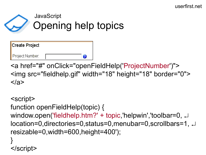# Opening help topics JavaScript

| <b>Create Project</b> |   |
|-----------------------|---|
| Project Number:       | 2 |

<a href="#" onClick="openFieldHelp('ProjectNumber')"> <img src="fieldhelp.gif" width="18" height="18" border="0">  $\langle$ a>

```
<script>
function openFieldHelp(topic) {
window.open('fieldhelp.htm?' + topic,'helpwin','toolbar=0, J
location=0,directories=0,status=0,menubar=0,scrollbars=1, 
resizable=0,width=600,height=400');
}
</script>
```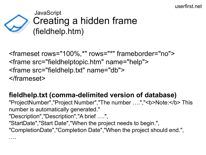

<frameset rows="100%,\*" rows="\*" frameborder="no"> <frame src="fieldhelptopic.htm" name="help"> <frame src="fieldhelp.txt" name="db"> </frameset>

**fieldhelp.txt (comma-delimited version of database)** "ProjectNumber","Project Number","The number ....","<b>Note:</b>This number is automatically generated." "Description","Description","A brief ….", "StartDate","Start Date","When the project needs to begin.", "CompletionDate","Completion Date","When the project should end.", ….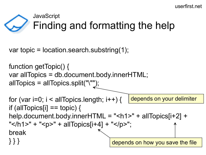# Finding and formatting the help **JavaScript**

var topic = location.search.substring(1);

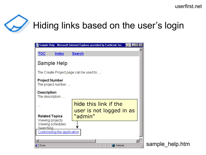

# Hiding links based on the user's login

|                                                                      | Sample Help - Microsoft Internet Explorer provided by EarthLink Inc. |  |
|----------------------------------------------------------------------|----------------------------------------------------------------------|--|
| <b>TOC</b><br>Index                                                  | <b>Search</b>                                                        |  |
| Sample Help                                                          |                                                                      |  |
| The Create Project page can be used to                               |                                                                      |  |
| <b>Project Number</b><br>The project number                          |                                                                      |  |
| <b>Description</b><br>The description<br>$\sim$                      |                                                                      |  |
| <b>Related Topics</b><br>Viewing projects                            | hide this link if the<br>user is not logged in as<br>"admin"         |  |
| Viewing schedules<br><b>Searching</b><br>Customizing the application |                                                                      |  |
| <b>Done</b>                                                          | Internet                                                             |  |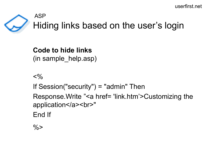

**Code to hide links** (in sample\_help.asp)

 $<\frac{9}{6}$ 

If Session("security") = "admin" Then

Response.Write "<a href= 'link.htm'>Customizing the application</a> <br/>>br>"

End If

 $\frac{0}{0}$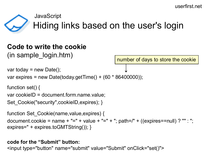JavaScript

# Hiding links based on the user's login

#### **Code to write the cookie**  (in sample\_login.htm)

number of days to store the cookie

```
var today = new Date();
var expires = new Date(today.getTime() + (60 * 86400000);
```

```
function set() {
var cookieID = document.form.name.value;
Set_Cookie("security",cookieID,expires); }
```

```
function Set_Cookie(name,value,expires) {
document.cookie = name + "=" + value + "=" + "; path=/" + ((expires==null) ? "" : ";
expires=" + expires.toGMTString()); }
```
#### **code for the "Submit" button:**

<input type="button" name="submit" value="Submit" onClick="set()">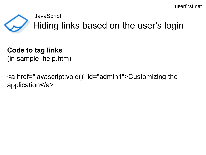#### JavaScript



Hiding links based on the user's login

# **Code to tag links**

(in sample help.htm)

<a href="javascript:void()" id="admin1">Customizing the application</a>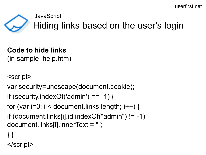#### **JavaScript**



# Hiding links based on the user's login

# **Code to hide links**

(in sample\_help.htm)

<script>

var security=unescape(document.cookie);

```
if (security.indexOf('admin') == -1) {
```
for (var  $i=0$ ;  $i <$  document.links.length;  $i++$ ) {

```
if (document.links[i].id.indexOf("admin") != -1) 
document.links[i].innerText = "";
```
- } }
- </script>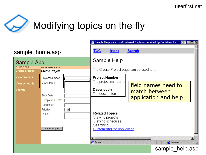

|                                          |                                                                                                                           |            | Sample Help - Microsoft Internet Explorer provided by EarthLink Inc.<br>$\circ$ $\Box$                       |                                                            |                                        |                                             |  |
|------------------------------------------|---------------------------------------------------------------------------------------------------------------------------|------------|--------------------------------------------------------------------------------------------------------------|------------------------------------------------------------|----------------------------------------|---------------------------------------------|--|
| sample home.asp                          |                                                                                                                           | <b>TOC</b> | Index                                                                                                        | <b>Search</b>                                              |                                        |                                             |  |
| Sample App                               |                                                                                                                           |            | Sample Help                                                                                                  |                                                            |                                        |                                             |  |
| 01/06/2002<br><b>Create project</b>      | You are logged in as: sss<br><b>Create Project</b>                                                                        |            |                                                                                                              |                                                            | The Create Project page can be used to |                                             |  |
| View projects<br>View schedule<br>Search | Project Number:<br>Description:<br>Start Date:<br>Completion Date:<br>Requestor:<br>Priority:<br>Tasks:<br>Submit Project | $1 -$      | <b>Project Number</b><br><b>Description</b><br><b>Related Topics</b><br>Viewing projects<br><b>Searching</b> | The project number<br>The description<br>Viewing schedules | match between                          | field names need to<br>application and help |  |
|                                          |                                                                                                                           |            | <b>∉</b> ] Done                                                                                              | Customizing the application                                |                                        | <b>O</b> Internet<br>sample help.asp        |  |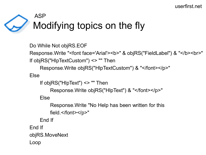# Modifying topics on the fly ASP

```
Do While Not objRS.EOF
```

```
Response.Write "<font face='Arial'><b>" & objRS("FieldLabel") & "</b><br>"
```
If objRS("HlpTextCustom") <> "" Then

Response.Write objRS("HlpTextCustom") & "</font></p>"

Else

If objRS("HlpText") <> "" Then

Response.Write objRS("HlpText") & "</font></p>"

Else

Response.Write "No Help has been written for this field.</font></p>"

End If

End If

objRS.MoveNext

Loop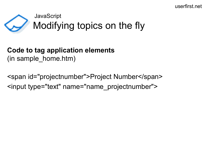## Modifying topics on the fly JavaScript

#### **Code to tag application elements** (in sample\_home.htm)

<span id="projectnumber">Project Number</span> <input type="text" name="name\_projectnumber">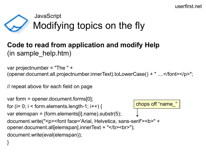## Modifying topics on the fly JavaScript

#### **Code to read from application and modify Help**  (in sample help.htm)

var projectnumber = "The " + (opener.document.all.projectnumber.innerText).toLowerCase() + " ....</font></p>";

// repeat above for each field on page

```
var form = opener.document.forms[0];
for (i = 0; i < form.elements.length-1; i++) {
var elemspan = (form.elements[i].name).substr(5);
document.write("<p><font face='Arial, Helvetica, sans-serif'><br/>>b>" +
opener.document.all[elemspan].innerText + "</b><br>");
document.write(eval(elemspan));
} 
                                                         chops off "name_"
```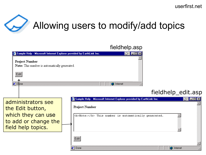

# Allowing users to modify/add topics

|                                                                                                                                                                           | fieldhelp.asp                                                                                                                                         |
|---------------------------------------------------------------------------------------------------------------------------------------------------------------------------|-------------------------------------------------------------------------------------------------------------------------------------------------------|
| Sample Help - Microsoft Internet Explorer provided by EarthLink Inc.<br><b>Project Number</b><br>Note: This number is automatically generated.<br>Edit<br><b>∉</b> ] Done | <b>O</b> Internet                                                                                                                                     |
|                                                                                                                                                                           | fieldhelp_edit.asp                                                                                                                                    |
| administrators see<br>the Edit button,<br>which they can use<br>to add or change the<br>field help topics.                                                                | Sample Help - Microsoft Internet Explorer provided by EarthLink Inc.<br><b>Project Number</b><br><b>Note:</b> This number is automatically generated. |
|                                                                                                                                                                           | Edit<br><b>∉</b> ] Done<br><b>O</b> Internet                                                                                                          |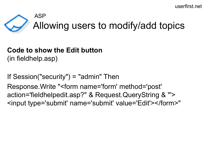## Allowing users to modify/add topics ASP

#### **Code to show the Edit button**  (in fieldhelp.asp)

If Session("security") = "admin" Then Response.Write "<form name='form' method='post' action='fieldhelpedit.asp?" & Request.QueryString & "'> <input type='submit' name='submit' value='Edit'></form>"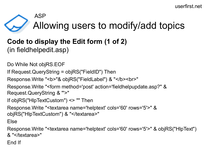# Allowing users to modify/add topics ASP

#### **Code to display the Edit form (1 of 2)** (in fieldhelpedit.asp)

Do While Not objRS.EOF If Request.QueryString = objRS("FieldID") Then Response.Write "<br />b>"& objRS("FieldLabel") & "</b>>>br>" Response.Write "<form method='post' action='fieldhelpupdate.asp?" & Request.QueryString & "'>" If objRS("HlpTextCustom") <> "" Then Response.Write "<textarea name='helptext' cols='60' rows='5'>" & objRS("HIpTextCustom") & "</textarea>" Else

Response.Write "<textarea name='helptext' cols='60' rows='5'>" & objRS("HlpText") & "</textarea>"

End If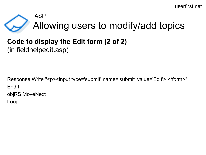## Allowing users to modify/add topics ASP

#### **Code to display the Edit form (2 of 2)** (in fieldhelpedit.asp)

…

Response.Write "<p><input type='submit' name='submit' value='Edit'> </form>" End If objRS.MoveNext Loop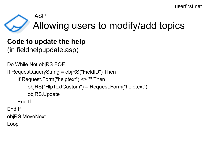## Allowing users to modify/add topics ASP

# **Code to update the help**

(in fieldhelpupdate.asp)

Do While Not objRS.EOF If Request.QueryString = objRS("FieldID") Then If Request.Form("helptext") <> "" Then objRS("HlpTextCustom") = Request.Form("helptext") objRS.Update End If End If objRS.MoveNext Loop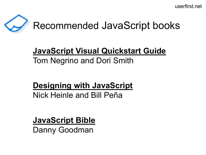# Recommended JavaScript books

# **JavaScript Visual Quickstart Guide** Tom Negrino and Dori Smith

## **Designing with JavaScript** Nick Heinle and Bill Peña

**JavaScript Bible**

Danny Goodman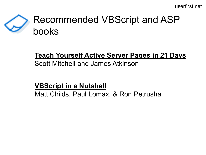# Recommended VBScript and ASP books

# **Teach Yourself Active Server Pages in 21 Days**

Scott Mitchell and James Atkinson

#### **VBScript in a Nutshell**

Matt Childs, Paul Lomax, & Ron Petrusha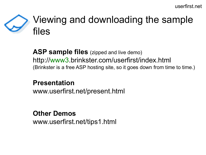# Viewing and downloading the sample files

**ASP sample files** (zipped and live demo) http://www3.brinkster.com/userfirst/index.html (Brinkster is a free ASP hosting site, so it goes down from time to time.)

#### **Presentation**

www.userfirst.net/present.html

#### **Other Demos**

www.userfirst.net/tips1.html